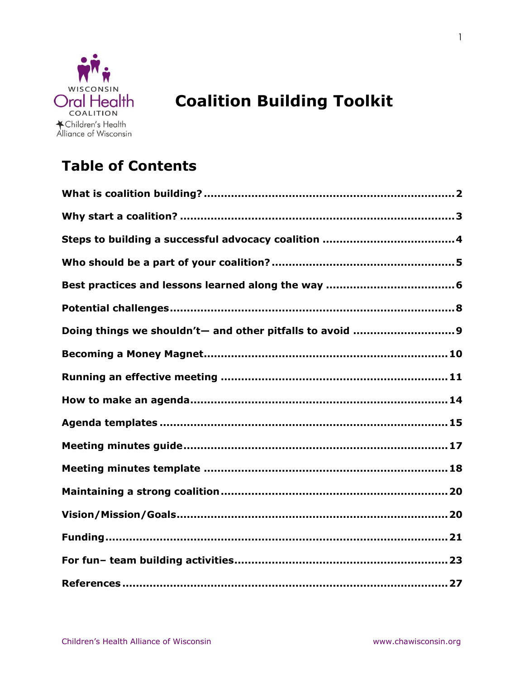

# **Coalition Building Toolkit**

# **Table of Contents**

| Doing things we shouldn't- and other pitfalls to avoid 9 |
|----------------------------------------------------------|
|                                                          |
|                                                          |
|                                                          |
|                                                          |
|                                                          |
|                                                          |
|                                                          |
|                                                          |
|                                                          |
|                                                          |
|                                                          |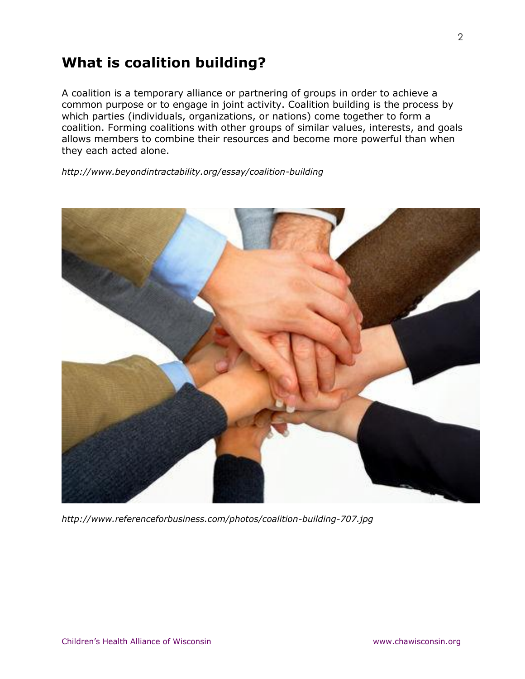# <span id="page-1-0"></span>**What is coalition building?**

A coalition is a temporary alliance or partnering of groups in order to achieve a common purpose or to engage in joint activity. Coalition building is the process by which parties (individuals, organizations, or nations) come together to form a coalition. Forming coalitions with other groups of similar values, interests, and goals allows members to combine their resources and become more powerful than when they each acted alone.

*http://www.beyondintractability.org/essay/coalition-building*



*http://www.referenceforbusiness.com/photos/coalition-building-707.jpg*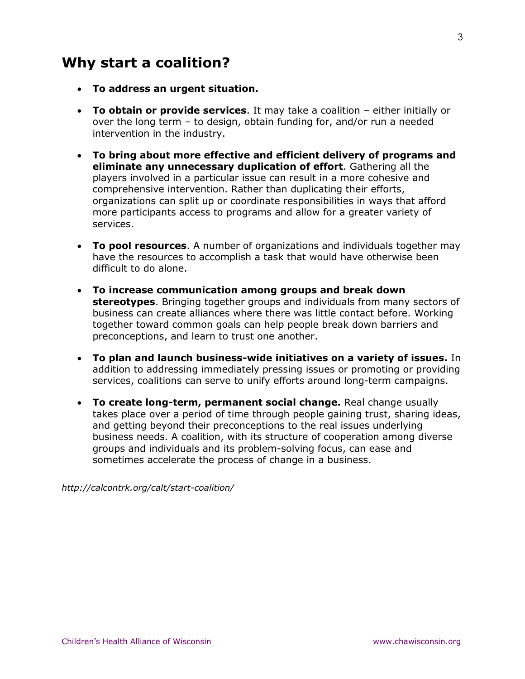## <span id="page-2-0"></span>**Why start a coalition?**

- **To address an urgent situation.**
- **To obtain or provide services**. It may take a coalition either initially or over the long term – to design, obtain funding for, and/or run a needed intervention in the industry.
- **To bring about more effective and efficient delivery of programs and eliminate any unnecessary duplication of effort**. Gathering all the players involved in a particular issue can result in a more cohesive and comprehensive intervention. Rather than duplicating their efforts, organizations can split up or coordinate responsibilities in ways that afford more participants access to programs and allow for a greater variety of services.
- **To pool resources**. A number of organizations and individuals together may have the resources to accomplish a task that would have otherwise been difficult to do alone.
- **To increase communication among groups and break down stereotypes**. Bringing together groups and individuals from many sectors of business can create alliances where there was little contact before. Working together toward common goals can help people break down barriers and preconceptions, and learn to trust one another.
- **To plan and launch business-wide initiatives on a variety of issues.** In addition to addressing immediately pressing issues or promoting or providing services, coalitions can serve to unify efforts around long-term campaigns.
- **To create long-term, permanent social change.** Real change usually takes place over a period of time through people gaining trust, sharing ideas, and getting beyond their preconceptions to the real issues underlying business needs. A coalition, with its structure of cooperation among diverse groups and individuals and its problem-solving focus, can ease and sometimes accelerate the process of change in a business.

*http://calcontrk.org/calt/start-coalition/*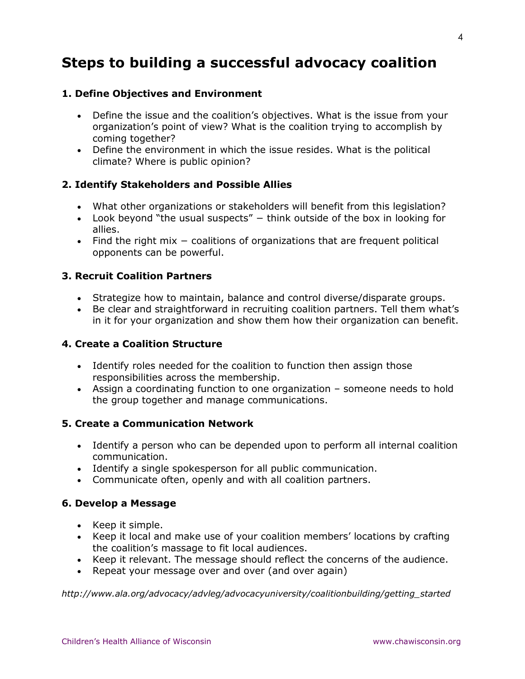# <span id="page-3-0"></span>**Steps to building a successful advocacy coalition**

### **1. Define Objectives and Environment**

- Define the issue and the coalition's objectives. What is the issue from your organization's point of view? What is the coalition trying to accomplish by coming together?
- Define the environment in which the issue resides. What is the political climate? Where is public opinion?

### **2. Identify Stakeholders and Possible Allies**

- What other organizations or stakeholders will benefit from this legislation?
- Look beyond "the usual suspects" − think outside of the box in looking for allies.
- Find the right mix coalitions of organizations that are frequent political opponents can be powerful.

### **3. Recruit Coalition Partners**

- Strategize how to maintain, balance and control diverse/disparate groups.
- Be clear and straightforward in recruiting coalition partners. Tell them what's in it for your organization and show them how their organization can benefit.

### **4. Create a Coalition Structure**

- Identify roles needed for the coalition to function then assign those responsibilities across the membership.
- Assign a coordinating function to one organization someone needs to hold the group together and manage communications.

### **5. Create a Communication Network**

- Identify a person who can be depended upon to perform all internal coalition communication.
- Identify a single spokesperson for all public communication.
- Communicate often, openly and with all coalition partners.

## **6. Develop a Message**

- $\bullet$  Keep it simple.
- Keep it local and make use of your coalition members' locations by crafting the coalition's massage to fit local audiences.
- Keep it relevant. The message should reflect the concerns of the audience.
- Repeat your message over and over (and over again)

*http://www.ala.org/advocacy/advleg/advocacyuniversity/coalitionbuilding/getting\_started*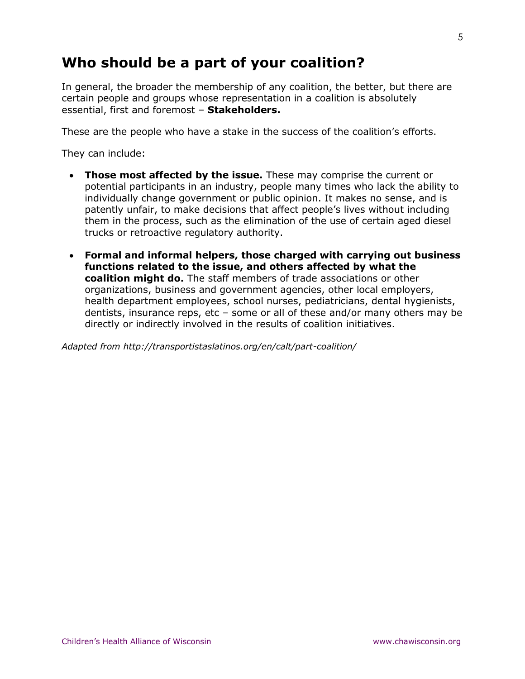# <span id="page-4-0"></span>**Who should be a part of your coalition?**

In general, the broader the membership of any coalition, the better, but there are certain people and groups whose representation in a coalition is absolutely essential, first and foremost – **Stakeholders.** 

These are the people who have a stake in the success of the coalition's efforts.

They can include:

- **Those most affected by the issue.** These may comprise the current or potential participants in an industry, people many times who lack the ability to individually change government or public opinion. It makes no sense, and is patently unfair, to make decisions that affect people's lives without including them in the process, such as the elimination of the use of certain aged diesel trucks or retroactive regulatory authority.
- **Formal and informal helpers, those charged with carrying out business functions related to the issue, and others affected by what the coalition might do.** The staff members of trade associations or other organizations, business and government agencies, other local employers, health department employees, school nurses, pediatricians, dental hygienists, dentists, insurance reps, etc – some or all of these and/or many others may be directly or indirectly involved in the results of coalition initiatives.

*Adapted from http://transportistaslatinos.org/en/calt/part-coalition/*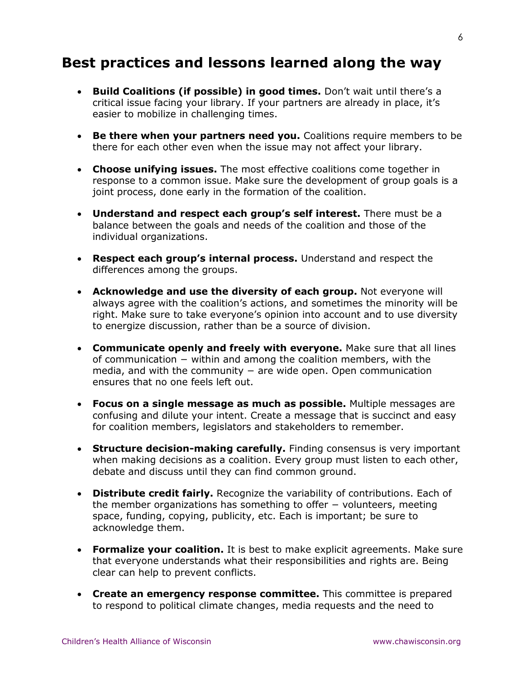# <span id="page-5-0"></span>**Best practices and lessons learned along the way**

- **Build Coalitions (if possible) in good times.** Don't wait until there's a critical issue facing your library. If your partners are already in place, it's easier to mobilize in challenging times.
- **Be there when your partners need you.** Coalitions require members to be there for each other even when the issue may not affect your library.
- **Choose unifying issues.** The most effective coalitions come together in response to a common issue. Make sure the development of group goals is a joint process, done early in the formation of the coalition.
- **Understand and respect each group's self interest.** There must be a balance between the goals and needs of the coalition and those of the individual organizations.
- **Respect each group's internal process.** Understand and respect the differences among the groups.
- **Acknowledge and use the diversity of each group.** Not everyone will always agree with the coalition's actions, and sometimes the minority will be right. Make sure to take everyone's opinion into account and to use diversity to energize discussion, rather than be a source of division.
- **Communicate openly and freely with everyone.** Make sure that all lines of communication − within and among the coalition members, with the media, and with the community – are wide open. Open communication ensures that no one feels left out.
- **Focus on a single message as much as possible.** Multiple messages are confusing and dilute your intent. Create a message that is succinct and easy for coalition members, legislators and stakeholders to remember.
- **Structure decision-making carefully.** Finding consensus is very important when making decisions as a coalition. Every group must listen to each other, debate and discuss until they can find common ground.
- **Distribute credit fairly.** Recognize the variability of contributions. Each of the member organizations has something to offer − volunteers, meeting space, funding, copying, publicity, etc. Each is important; be sure to acknowledge them.
- **Formalize your coalition.** It is best to make explicit agreements. Make sure that everyone understands what their responsibilities and rights are. Being clear can help to prevent conflicts.
- **Create an emergency response committee.** This committee is prepared to respond to political climate changes, media requests and the need to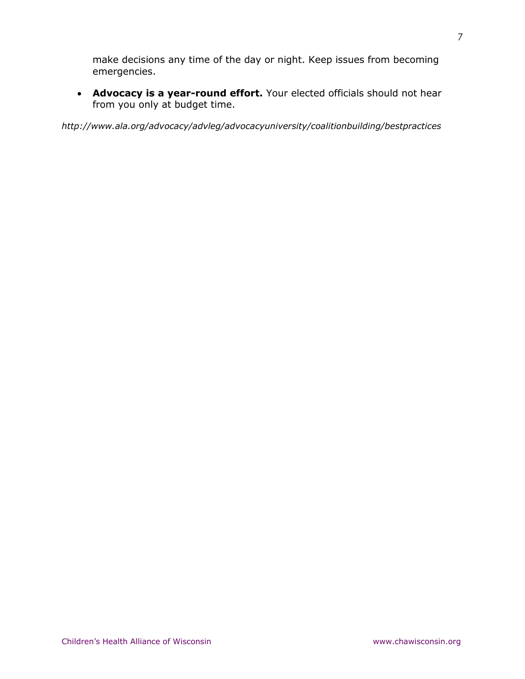make decisions any time of the day or night. Keep issues from becoming emergencies.

 **Advocacy is a year-round effort.** Your elected officials should not hear from you only at budget time.

*http://www.ala.org/advocacy/advleg/advocacyuniversity/coalitionbuilding/bestpractices*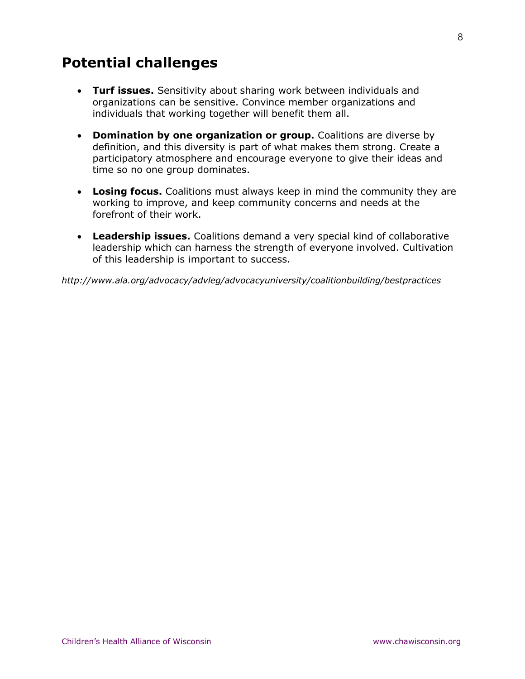# <span id="page-7-0"></span>**Potential challenges**

- **Turf issues.** Sensitivity about sharing work between individuals and organizations can be sensitive. Convince member organizations and individuals that working together will benefit them all.
- **Domination by one organization or group.** Coalitions are diverse by definition, and this diversity is part of what makes them strong. Create a participatory atmosphere and encourage everyone to give their ideas and time so no one group dominates.
- **Losing focus.** Coalitions must always keep in mind the community they are working to improve, and keep community concerns and needs at the forefront of their work.
- **Leadership issues.** Coalitions demand a very special kind of collaborative leadership which can harness the strength of everyone involved. Cultivation of this leadership is important to success.

*http://www.ala.org/advocacy/advleg/advocacyuniversity/coalitionbuilding/bestpractices*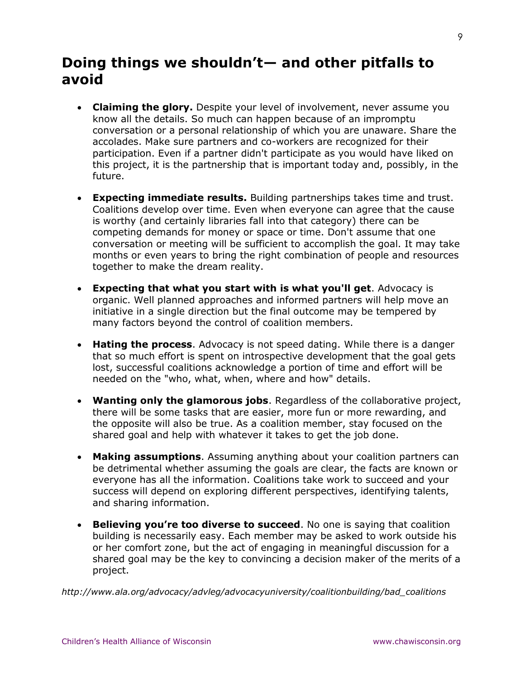# <span id="page-8-0"></span>**Doing things we shouldn't— and other pitfalls to avoid**

- **Claiming the glory.** Despite your level of involvement, never assume you know all the details. So much can happen because of an impromptu conversation or a personal relationship of which you are unaware. Share the accolades. Make sure partners and co-workers are recognized for their participation. Even if a partner didn't participate as you would have liked on this project, it is the partnership that is important today and, possibly, in the future.
- **Expecting immediate results.** Building partnerships takes time and trust. Coalitions develop over time. Even when everyone can agree that the cause is worthy (and certainly libraries fall into that category) there can be competing demands for money or space or time. Don't assume that one conversation or meeting will be sufficient to accomplish the goal. It may take months or even years to bring the right combination of people and resources together to make the dream reality.
- **Expecting that what you start with is what you'll get**. Advocacy is organic. Well planned approaches and informed partners will help move an initiative in a single direction but the final outcome may be tempered by many factors beyond the control of coalition members.
- **Hating the process**. Advocacy is not speed dating. While there is a danger that so much effort is spent on introspective development that the goal gets lost, successful coalitions acknowledge a portion of time and effort will be needed on the "who, what, when, where and how" details.
- **Wanting only the glamorous jobs**. Regardless of the collaborative project, there will be some tasks that are easier, more fun or more rewarding, and the opposite will also be true. As a coalition member, stay focused on the shared goal and help with whatever it takes to get the job done.
- **Making assumptions**. Assuming anything about your coalition partners can be detrimental whether assuming the goals are clear, the facts are known or everyone has all the information. Coalitions take work to succeed and your success will depend on exploring different perspectives, identifying talents, and sharing information.
- **Believing you're too diverse to succeed**. No one is saying that coalition building is necessarily easy. Each member may be asked to work outside his or her comfort zone, but the act of engaging in meaningful discussion for a shared goal may be the key to convincing a decision maker of the merits of a project.

*http://www.ala.org/advocacy/advleg/advocacyuniversity/coalitionbuilding/bad\_coalitions*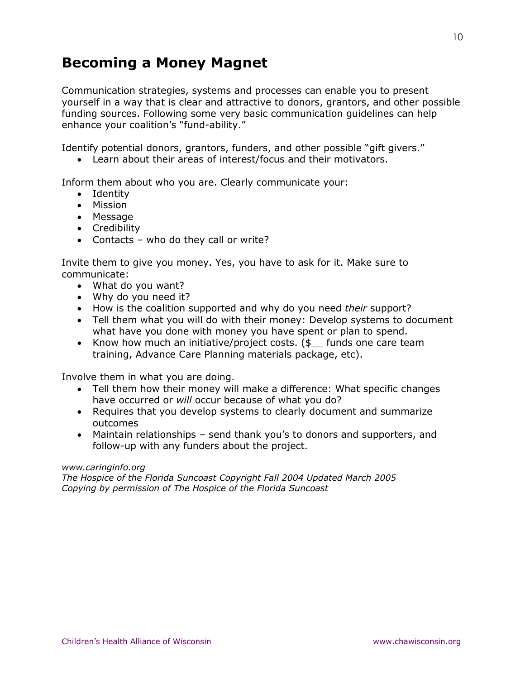# <span id="page-9-0"></span>**Becoming a Money Magnet**

Communication strategies, systems and processes can enable you to present yourself in a way that is clear and attractive to donors, grantors, and other possible funding sources. Following some very basic communication guidelines can help enhance your coalition's "fund-ability."

Identify potential donors, grantors, funders, and other possible "gift givers."

Learn about their areas of interest/focus and their motivators.

Inform them about who you are. Clearly communicate your:

- Identity
- Mission
- Message
- Credibility
- Contacts who do they call or write?

Invite them to give you money. Yes, you have to ask for it. Make sure to communicate:

- What do you want?
- Why do you need it?
- How is the coalition supported and why do you need *their* support?
- Tell them what you will do with their money: Develop systems to document what have you done with money you have spent or plan to spend.
- Know how much an initiative/project costs. (\$ \_ funds one care team training, Advance Care Planning materials package, etc).

Involve them in what you are doing.

- Tell them how their money will make a difference: What specific changes have occurred or *will* occur because of what you do?
- Requires that you develop systems to clearly document and summarize outcomes
- Maintain relationships send thank you's to donors and supporters, and follow-up with any funders about the project.

### *www.caringinfo.org*

*The Hospice of the Florida Suncoast Copyright Fall 2004 Updated March 2005 Copying by permission of The Hospice of the Florida Suncoast*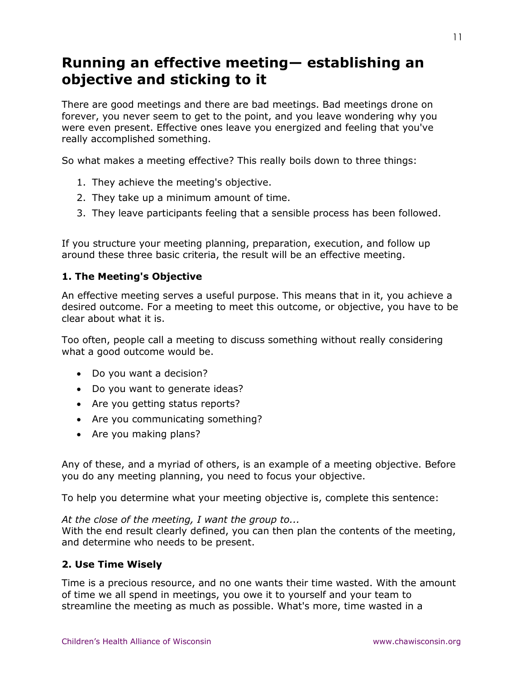# <span id="page-10-0"></span>**Running an effective meeting— establishing an objective and sticking to it**

There are good meetings and there are bad meetings. Bad meetings drone on forever, you never seem to get to the point, and you leave wondering why you were even present. Effective ones leave you energized and feeling that you've really accomplished something.

So what makes a meeting effective? This really boils down to three things:

- 1. They achieve the meeting's objective.
- 2. They take up a minimum amount of time.
- 3. They leave participants feeling that a sensible process has been followed.

If you structure your meeting planning, preparation, execution, and follow up around these three basic criteria, the result will be an effective meeting.

## **1. The Meeting's Objective**

An effective meeting serves a useful purpose. This means that in it, you achieve a desired outcome. For a meeting to meet this outcome, or objective, you have to be clear about what it is.

Too often, people call a meeting to discuss something without really considering what a good outcome would be.

- Do you want a decision?
- Do you want to generate ideas?
- Are you getting status reports?
- Are you communicating something?
- Are you making plans?

Any of these, and a myriad of others, is an example of a meeting objective. Before you do any meeting planning, you need to focus your objective.

To help you determine what your meeting objective is, complete this sentence:

*At the close of the meeting, I want the group to...* With the end result clearly defined, you can then plan the contents of the meeting, and determine who needs to be present.

## **2. Use Time Wisely**

Time is a precious resource, and no one wants their time wasted. With the amount of time we all spend in meetings, you owe it to yourself and your team to streamline the meeting as much as possible. What's more, time wasted in a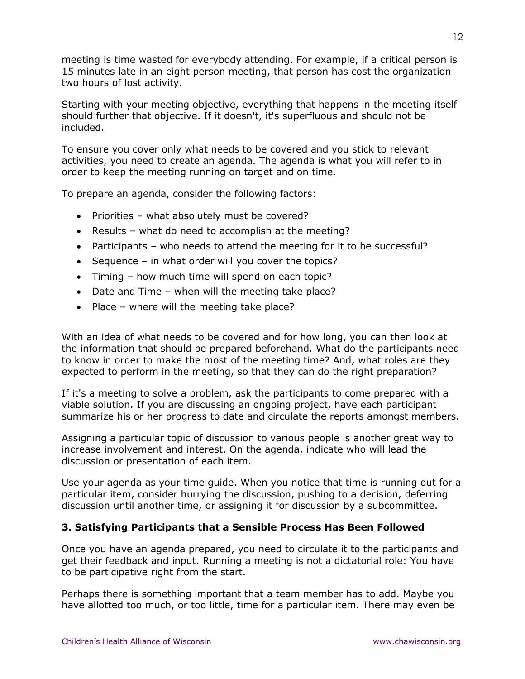meeting is time wasted for everybody attending. For example, if a critical person is 15 minutes late in an eight person meeting, that person has cost the organization two hours of lost activity.

Starting with your meeting objective, everything that happens in the meeting itself should further that objective. If it doesn't, it's superfluous and should not be included.

To ensure you cover only what needs to be covered and you stick to relevant activities, you need to create an agenda. The agenda is what you will refer to in order to keep the meeting running on target and on time.

To prepare an agenda, consider the following factors:

- Priorities what absolutely must be covered?
- Results what do need to accomplish at the meeting?
- Participants who needs to attend the meeting for it to be successful?
- $\bullet$  Sequence in what order will you cover the topics?
- Timing how much time will spend on each topic?
- Date and Time when will the meeting take place?
- Place where will the meeting take place?

With an idea of what needs to be covered and for how long, you can then look at the information that should be prepared beforehand. What do the participants need to know in order to make the most of the meeting time? And, what roles are they expected to perform in the meeting, so that they can do the right preparation?

If it's a meeting to solve a problem, ask the participants to come prepared with a viable solution. If you are discussing an ongoing project, have each participant summarize his or her progress to date and circulate the reports amongst members.

Assigning a particular topic of discussion to various people is another great way to increase involvement and interest. On the agenda, indicate who will lead the discussion or presentation of each item.

Use your agenda as your time guide. When you notice that time is running out for a particular item, consider hurrying the discussion, pushing to a decision, deferring discussion until another time, or assigning it for discussion by a subcommittee.

### **3. Satisfying Participants that a Sensible Process Has Been Followed**

Once you have an agenda prepared, you need to circulate it to the participants and get their feedback and input. Running a meeting is not a dictatorial role: You have to be participative right from the start.

Perhaps there is something important that a team member has to add. Maybe you have allotted too much, or too little, time for a particular item. There may even be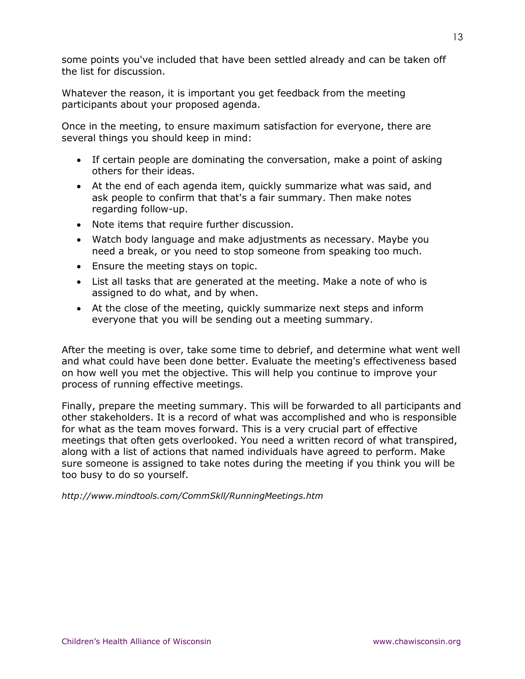some points you've included that have been settled already and can be taken off the list for discussion.

Whatever the reason, it is important you get feedback from the meeting participants about your proposed agenda.

Once in the meeting, to ensure maximum satisfaction for everyone, there are several things you should keep in mind:

- If certain people are dominating the conversation, make a point of asking others for their ideas.
- At the end of each agenda item, quickly summarize what was said, and ask people to confirm that that's a fair summary. Then make notes regarding follow-up.
- Note items that require further discussion.
- Watch body language and make adjustments as necessary. Maybe you need a break, or you need to stop someone from speaking too much.
- Ensure the meeting stays on topic.
- List all tasks that are generated at the meeting. Make a note of who is assigned to do what, and by when.
- At the close of the meeting, quickly summarize next steps and inform everyone that you will be sending out a meeting summary.

After the meeting is over, take some time to debrief, and determine what went well and what could have been done better. Evaluate the meeting's effectiveness based on how well you met the objective. This will help you continue to improve your process of running effective meetings.

Finally, prepare the meeting summary. This will be forwarded to all participants and other stakeholders. It is a record of what was accomplished and who is responsible for what as the team moves forward. This is a very crucial part of effective meetings that often gets overlooked. You need a written record of what transpired, along with a list of actions that named individuals have agreed to perform. Make sure someone is assigned to take notes during the meeting if you think you will be too busy to do so yourself.

*http://www.mindtools.com/CommSkll/RunningMeetings.htm*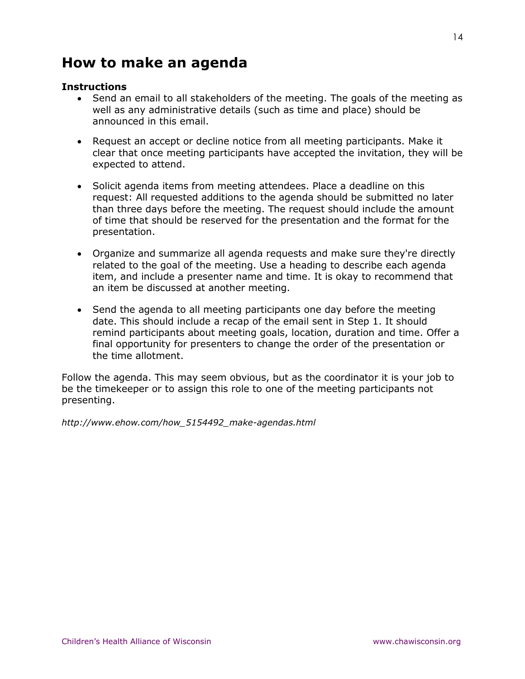# <span id="page-13-0"></span>**How to make an agenda**

### **Instructions**

- Send an email to all stakeholders of the meeting. The goals of the meeting as well as any administrative details (such as time and place) should be announced in this email.
- Request an accept or decline notice from all meeting participants. Make it clear that once meeting participants have accepted the invitation, they will be expected to attend.
- Solicit agenda items from meeting attendees. Place a deadline on this request: All requested additions to the agenda should be submitted no later than three days before the meeting. The request should include the amount of time that should be reserved for the presentation and the format for the presentation.
- Organize and summarize all agenda requests and make sure they're directly related to the goal of the meeting. Use a heading to describe each agenda item, and include a presenter name and time. It is okay to recommend that an item be discussed at another meeting.
- Send the agenda to all meeting participants one day before the meeting date. This should include a recap of the email sent in Step 1. It should remind participants about meeting goals, location, duration and time. Offer a final opportunity for presenters to change the order of the presentation or the time allotment.

Follow the agenda. This may seem obvious, but as the coordinator it is your job to be the timekeeper or to assign this role to one of the meeting participants not presenting.

*http://www.ehow.com/how\_5154492\_make-agendas.html*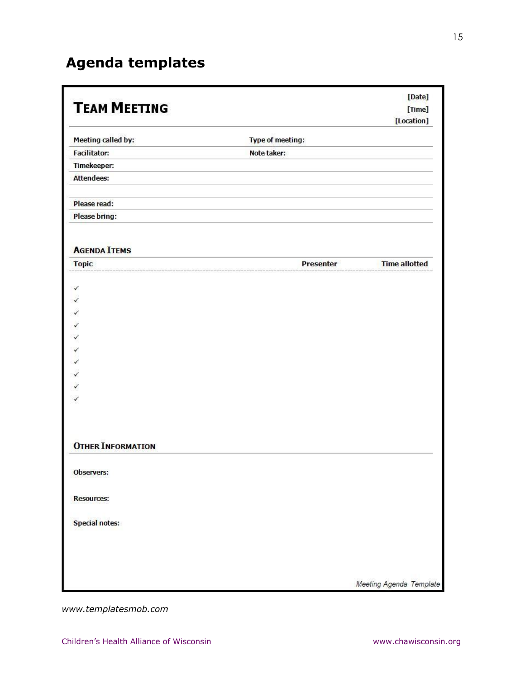# <span id="page-14-0"></span>**Agenda templates**

| <b>TEAM MEETING</b>      |                         | [Date]<br>[Time]<br>[Location] |
|--------------------------|-------------------------|--------------------------------|
| Meeting called by:       | <b>Type of meeting:</b> |                                |
| <b>Facilitator:</b>      | Note taker:             |                                |
| Timekeeper:              |                         |                                |
| <b>Attendees:</b>        |                         |                                |
| Please read:             |                         |                                |
| <b>Please bring:</b>     |                         |                                |
| <b>AGENDA ITEMS</b>      |                         |                                |
| <b>Topic</b>             | <b>Presenter</b>        | <b>Time allotted</b>           |
| $\checkmark$             |                         |                                |
|                          |                         |                                |
|                          |                         |                                |
|                          |                         |                                |
|                          |                         |                                |
|                          |                         |                                |
|                          |                         |                                |
|                          |                         |                                |
|                          |                         |                                |
|                          |                         |                                |
|                          |                         |                                |
| <b>OTHER INFORMATION</b> |                         |                                |
| Observers:               |                         |                                |
| <b>Resources:</b>        |                         |                                |
| <b>Special notes:</b>    |                         |                                |
|                          |                         |                                |
|                          |                         |                                |
|                          |                         | Meeting Agenda Template        |

*www.templatesmob.com*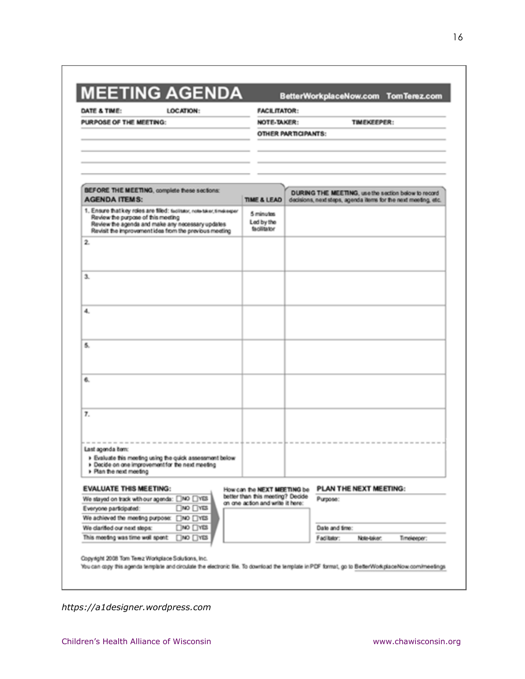| DATE & TIME:<br><b>LOCATION:</b>                                                                                                                                                                                        | <b>FACILITATOR:</b>                                                  |                     |                                                                                                                       |             |
|-------------------------------------------------------------------------------------------------------------------------------------------------------------------------------------------------------------------------|----------------------------------------------------------------------|---------------------|-----------------------------------------------------------------------------------------------------------------------|-------------|
| PURPOSE OF THE MEETING:                                                                                                                                                                                                 | NOTE-TAKER:                                                          |                     | <b>TIMEKEEPER:</b>                                                                                                    |             |
|                                                                                                                                                                                                                         |                                                                      | OTHER PARTICIPANTS: |                                                                                                                       |             |
|                                                                                                                                                                                                                         |                                                                      |                     |                                                                                                                       |             |
| BEFORE THE MEETING, complete these sections:<br><b>AGENDA ITEMS:</b>                                                                                                                                                    | <b>TIME &amp; LEAD</b>                                               |                     | DURING THE MEETING, use the section below to record<br>decisions, next steps, agenda items for the next meeting, etc. |             |
| 1. Ensure that key roles are filed: tuolisex, rote taker, timeraper<br>Review the purpose of this meeting<br>Review the agenda and make any necessary updates<br>Revisit the improvement idea from the previous meeting | 5 minutes<br>Led by the<br>facilitator                               |                     |                                                                                                                       |             |
| 2.                                                                                                                                                                                                                      |                                                                      |                     |                                                                                                                       |             |
| ã.                                                                                                                                                                                                                      |                                                                      |                     |                                                                                                                       |             |
| 4.                                                                                                                                                                                                                      |                                                                      |                     |                                                                                                                       |             |
| б.                                                                                                                                                                                                                      |                                                                      |                     |                                                                                                                       |             |
| 6.                                                                                                                                                                                                                      |                                                                      |                     |                                                                                                                       |             |
| 7.                                                                                                                                                                                                                      |                                                                      |                     |                                                                                                                       |             |
| Last agenda tem:<br>> Evaluate this meeting using the quick assessment below<br>> Decide on one improvement for the next meeting<br>> Plan the next meeting                                                             |                                                                      |                     |                                                                                                                       |             |
| <b>EVALUATE THIS MEETING:</b>                                                                                                                                                                                           | How can the NEXT MEETING be                                          |                     | PLAN THE NEXT MEETING:                                                                                                |             |
| We stayed on track with our agenda: []NO []YES<br>$\Box$ NO $\Box$ YES<br>Everyone participated:<br>We achieved the meeting purpose:<br>$\square$ NO $\square$ YES                                                      | better than this meeting? Decide<br>on one action and write it here: |                     | Purpose:                                                                                                              |             |
| $\Box$ NO $\Box$ YES<br>We darified our next steps:                                                                                                                                                                     |                                                                      |                     | Date and time:                                                                                                        |             |
| This meeting was time well spent.<br>$\Box$ NO $\Box$ YES                                                                                                                                                               |                                                                      |                     | Fadilator:<br>Note-taker:                                                                                             | Timeleeper: |

*https://a1designer.wordpress.com*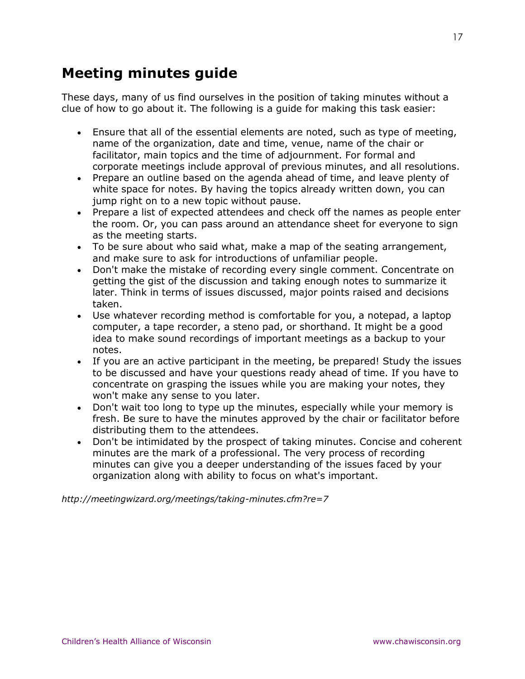# <span id="page-16-0"></span>**Meeting minutes guide**

These days, many of us find ourselves in the position of taking minutes without a clue of how to go about it. The following is a guide for making this task easier:

- Ensure that all of the essential elements are noted, such as type of meeting, name of the organization, date and time, venue, name of the chair or facilitator, main topics and the time of adjournment. For formal and corporate meetings include approval of previous minutes, and all resolutions.
- Prepare an outline based on the agenda ahead of time, and leave plenty of white space for notes. By having the topics already written down, you can jump right on to a new topic without pause.
- Prepare a list of expected attendees and check off the names as people enter the room. Or, you can pass around an attendance sheet for everyone to sign as the meeting starts.
- To be sure about who said what, make a map of the seating arrangement, and make sure to ask for introductions of unfamiliar people.
- Don't make the mistake of recording every single comment. Concentrate on getting the gist of the discussion and taking enough notes to summarize it later. Think in terms of issues discussed, major points raised and decisions taken.
- Use whatever recording method is comfortable for you, a notepad, a laptop computer, a tape recorder, a steno pad, or shorthand. It might be a good idea to make sound recordings of important meetings as a backup to your notes.
- If you are an active participant in the meeting, be prepared! Study the issues to be discussed and have your questions ready ahead of time. If you have to concentrate on grasping the issues while you are making your notes, they won't make any sense to you later.
- Don't wait too long to type up the minutes, especially while your memory is fresh. Be sure to have the minutes approved by the chair or facilitator before distributing them to the attendees.
- Don't be intimidated by the prospect of taking minutes. Concise and coherent minutes are the mark of a professional. The very process of recording minutes can give you a deeper understanding of the issues faced by your organization along with ability to focus on what's important.

*http://meetingwizard.org/meetings/taking-minutes.cfm?re=7*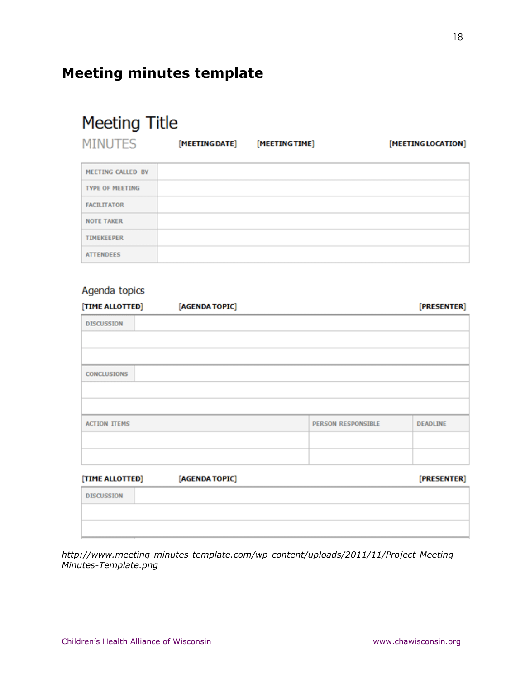# <span id="page-17-0"></span>**Meeting minutes template**

## **Meeting Title MINUTES** [MEETING DATE] [MEETING TIME] [MEETING LOCATION] MEETING CALLED BY **TYPE OF MEETING FACILITATOR NOTE TAKER TIMEKEEPER ATTENDEES**

## Agenda topics

| [TIME ALLOTTED]     | [AGENDA TOPIC] |                           | [PRESENTER]     |
|---------------------|----------------|---------------------------|-----------------|
| <b>DISCUSSION</b>   |                |                           |                 |
|                     |                |                           |                 |
|                     |                |                           |                 |
| <b>CONCLUSIONS</b>  |                |                           |                 |
|                     |                |                           |                 |
| <b>ACTION ITEMS</b> |                | <b>PERSON RESPONSIBLE</b> | <b>DEADLINE</b> |
|                     |                |                           |                 |
|                     |                |                           |                 |
| [TIME ALLOTTED]     | [AGENDA TOPIC] |                           | [PRESENTER]     |
| <b>DISCUSSION</b>   |                |                           |                 |
|                     |                |                           |                 |

*http://www.meeting-minutes-template.com/wp-content/uploads/2011/11/Project-Meeting-Minutes-Template.png*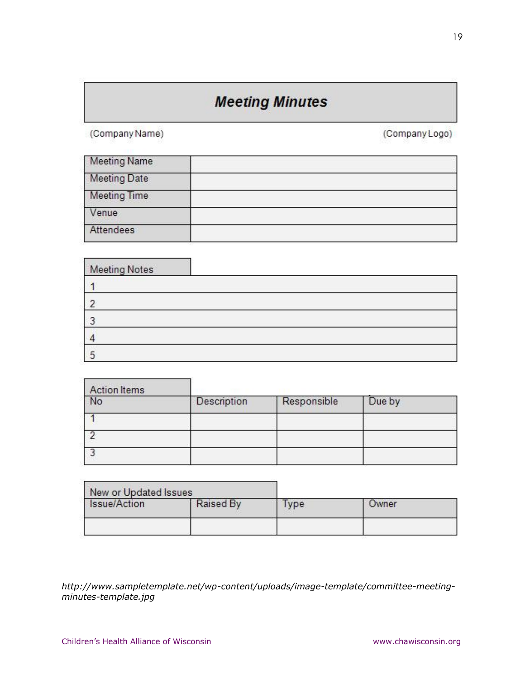# **Meeting Minutes**

(Company Name)

(Company Logo)

| Meeting Name |  |
|--------------|--|
| Meeting Date |  |
| Meeting Time |  |
| Venue        |  |
| Attendees    |  |

| Meeting Notes |  |
|---------------|--|
|               |  |
|               |  |
|               |  |
|               |  |
|               |  |

| <b>Action Items</b> |             |             |        |
|---------------------|-------------|-------------|--------|
| <b>No</b>           | Description | Responsible | Due by |
|                     |             |             |        |
|                     |             |             |        |
|                     |             |             |        |

| New or Updated Issues |           |             |       |  |
|-----------------------|-----------|-------------|-------|--|
| <b>Issue/Action</b>   | Raised By | <b>Type</b> | Owner |  |
|                       |           |             |       |  |

*http://www.sampletemplate.net/wp-content/uploads/image-template/committee-meetingminutes-template.jpg*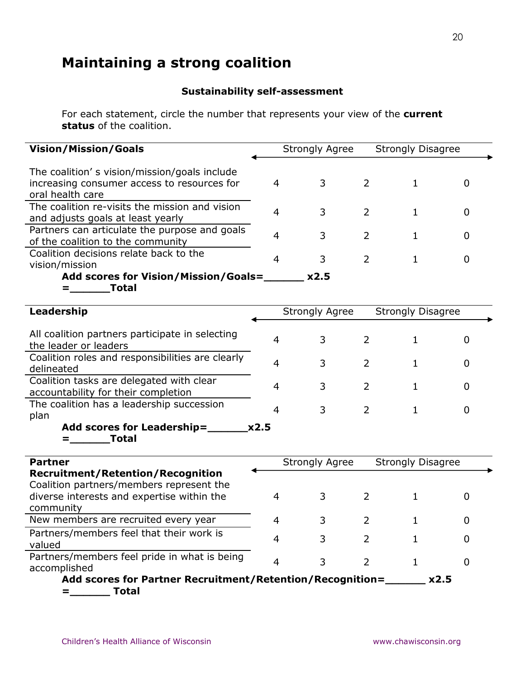# <span id="page-19-0"></span>**Maintaining a strong coalition**

## **Sustainability self-assessment**

For each statement, circle the number that represents your view of the **current status** of the coalition.

<span id="page-19-1"></span>

| <b>Vision/Mission/Goals</b>                                                                                     |                | <b>Strongly Agree</b> |                | <b>Strongly Disagree</b> |              |  |  |
|-----------------------------------------------------------------------------------------------------------------|----------------|-----------------------|----------------|--------------------------|--------------|--|--|
| The coalition's vision/mission/goals include<br>increasing consumer access to resources for<br>oral health care | 4              | 3                     | $\overline{2}$ | 1                        | $\mathbf 0$  |  |  |
| The coalition re-visits the mission and vision<br>and adjusts goals at least yearly                             | $\overline{4}$ | 3                     | 2              | 1                        | $\mathbf 0$  |  |  |
| Partners can articulate the purpose and goals<br>of the coalition to the community                              | 4              | 3                     | 2              | 1                        | $\Omega$     |  |  |
| Coalition decisions relate back to the<br>vision/mission                                                        | $\overline{4}$ | 3                     | $\overline{2}$ | 1                        | $\Omega$     |  |  |
| Add scores for Vision/Mission/Goals=                                                                            |                | x2.5                  |                |                          |              |  |  |
| <b>Total</b>                                                                                                    |                |                       |                |                          |              |  |  |
| Leadership                                                                                                      |                | <b>Strongly Agree</b> |                | <b>Strongly Disagree</b> |              |  |  |
| All coalition partners participate in selecting<br>the leader or leaders                                        | 4              | 3                     | $\overline{2}$ | 1                        | $\mathbf 0$  |  |  |
| Coalition roles and responsibilities are clearly<br>delineated                                                  | $\overline{4}$ | 3                     | $\overline{2}$ | 1                        | 0            |  |  |
| Coalition tasks are delegated with clear<br>accountability for their completion                                 | 4              | 3                     | $\overline{2}$ | 1                        | 0            |  |  |
| The coalition has a leadership succession<br>plan                                                               | $\overline{4}$ | 3                     | $\overline{2}$ | $\mathbf{1}$             | $\mathbf{0}$ |  |  |
| Add scores for Leadership=________ x2.5<br><b>Total</b>                                                         |                |                       |                |                          |              |  |  |
| <b>Partner</b><br><b>Recruitment/Retention/Recognition</b>                                                      |                | <b>Strongly Agree</b> |                | <b>Strongly Disagree</b> |              |  |  |

| <b>Recruitment/Retention/Recognition</b>                  |   |   |             |   |
|-----------------------------------------------------------|---|---|-------------|---|
| Coalition partners/members represent the                  |   |   |             |   |
| diverse interests and expertise within the                | 4 | З |             |   |
| community                                                 |   |   |             |   |
| New members are recruited every year                      | 4 | З |             |   |
| Partners/members feel that their work is                  | 4 | 3 |             | O |
| valued                                                    |   |   |             |   |
| Partners/members feel pride in what is being              | 4 | 3 |             |   |
| accomplished                                              |   |   |             |   |
| Add scores for Partner Recruitment/Retention/Recognition= |   |   | <b>x2.5</b> |   |
| Total                                                     |   |   |             |   |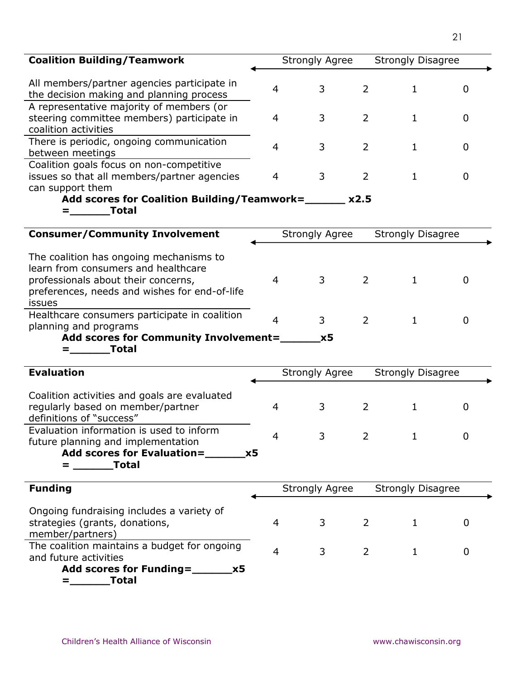<span id="page-20-0"></span>

| <b>Coalition Building/Teamwork</b>                                                                                                                                                                                             | <b>Strongly Agree</b> |                       |                |                          |                  |  |
|--------------------------------------------------------------------------------------------------------------------------------------------------------------------------------------------------------------------------------|-----------------------|-----------------------|----------------|--------------------------|------------------|--|
|                                                                                                                                                                                                                                |                       |                       |                | <b>Strongly Disagree</b> |                  |  |
| All members/partner agencies participate in<br>the decision making and planning process                                                                                                                                        | $\overline{4}$        | 3                     | 2              | 1                        | $\overline{0}$   |  |
| A representative majority of members (or<br>steering committee members) participate in<br>coalition activities                                                                                                                 | 4                     | 3                     | $\overline{2}$ | $\mathbf{1}$             | $\mathbf 0$      |  |
| There is periodic, ongoing communication<br>between meetings                                                                                                                                                                   | $\overline{4}$        | 3                     | $\overline{2}$ | 1                        | 0                |  |
| Coalition goals focus on non-competitive<br>issues so that all members/partner agencies<br>can support them                                                                                                                    | 4                     | 3                     | 2              | 1                        | 0                |  |
| Add scores for Coalition Building/Teamwork=                                                                                                                                                                                    |                       | x2.5                  |                |                          |                  |  |
| <b>Total</b>                                                                                                                                                                                                                   |                       |                       |                |                          |                  |  |
| <b>Consumer/Community Involvement</b>                                                                                                                                                                                          |                       | <b>Strongly Agree</b> |                | <b>Strongly Disagree</b> |                  |  |
|                                                                                                                                                                                                                                |                       |                       |                |                          |                  |  |
| The coalition has ongoing mechanisms to<br>learn from consumers and healthcare<br>professionals about their concerns,<br>preferences, needs and wishes for end-of-life                                                         | 4                     | 3                     | $\overline{2}$ | 1                        | $\mathbf 0$      |  |
| issues<br>Healthcare consumers participate in coalition<br>planning and programs                                                                                                                                               | $\overline{4}$        | 3                     | 2              | 1                        | $\mathbf 0$      |  |
| Add scores for Community Involvement=<br><b>Total</b>                                                                                                                                                                          |                       | x <sub>5</sub>        |                |                          |                  |  |
| <b>Evaluation</b>                                                                                                                                                                                                              |                       | <b>Strongly Agree</b> |                | <b>Strongly Disagree</b> |                  |  |
| Coalition activities and goals are evaluated<br>regularly based on member/partner<br>definitions of "success"                                                                                                                  | 4                     | 3                     | 2              | 1                        | $\boldsymbol{0}$ |  |
| Evaluation information is used to inform<br>future planning and implementation<br>Add scores for Evaluation=<br>x5                                                                                                             | 4                     | 3                     | $2^{\circ}$    | $\mathbf{1}$             | 0                |  |
| Total<br>=                                                                                                                                                                                                                     |                       |                       |                |                          |                  |  |
| <b>Funding</b>                                                                                                                                                                                                                 |                       | <b>Strongly Agree</b> |                | <b>Strongly Disagree</b> |                  |  |
| Ongoing fundraising includes a variety of<br>strategies (grants, donations,<br>member/partners)                                                                                                                                | 4                     | 3                     | $2^{\circ}$    | $\mathbf{1}$             | 0                |  |
| The coalition maintains a budget for ongoing<br>and future activities<br>Add scores for Funding=___________x5<br>_Total<br>= 2000 = 2000 = 2000 = 2000 = 2000 = 2000 = 2000 = 2000 = 2000 = 2000 = 2000 = 2000 = 2000 = 2000 = | 4                     | 3                     | $\overline{2}$ | 1                        | 0                |  |
|                                                                                                                                                                                                                                |                       |                       |                |                          |                  |  |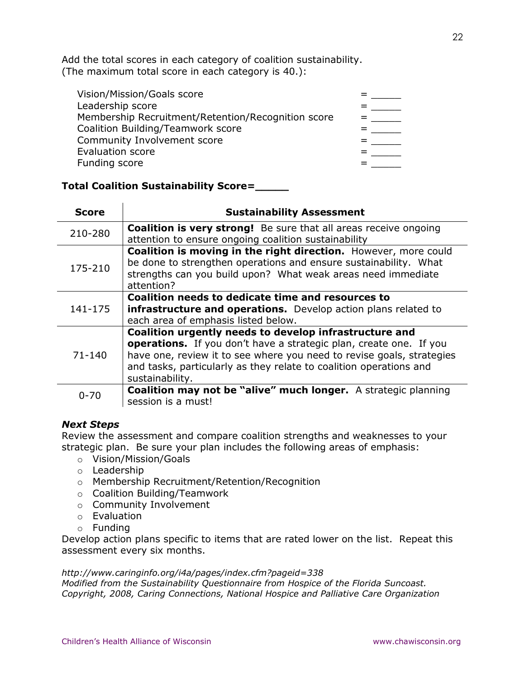Add the total scores in each category of coalition sustainability. (The maximum total score in each category is 40.):

| Vision/Mission/Goals score                         |  |
|----------------------------------------------------|--|
| Leadership score                                   |  |
| Membership Recruitment/Retention/Recognition score |  |
| Coalition Building/Teamwork score                  |  |
| Community Involvement score                        |  |
| <b>Evaluation score</b>                            |  |
| Funding score                                      |  |
|                                                    |  |

## **Total Coalition Sustainability Score=\_\_\_\_\_**

| <b>Score</b> | <b>Sustainability Assessment</b>                                                                                                                                                                                                                                                                      |
|--------------|-------------------------------------------------------------------------------------------------------------------------------------------------------------------------------------------------------------------------------------------------------------------------------------------------------|
| 210-280      | <b>Coalition is very strong!</b> Be sure that all areas receive ongoing<br>attention to ensure ongoing coalition sustainability                                                                                                                                                                       |
| 175-210      | Coalition is moving in the right direction. However, more could<br>be done to strengthen operations and ensure sustainability. What<br>strengths can you build upon? What weak areas need immediate<br>attention?                                                                                     |
| 141-175      | Coalition needs to dedicate time and resources to<br>infrastructure and operations. Develop action plans related to<br>each area of emphasis listed below.                                                                                                                                            |
| 71-140       | Coalition urgently needs to develop infrastructure and<br><b>operations.</b> If you don't have a strategic plan, create one. If you<br>have one, review it to see where you need to revise goals, strategies<br>and tasks, particularly as they relate to coalition operations and<br>sustainability. |
| $0 - 70$     | <b>Coalition may not be "alive" much longer.</b> A strategic planning<br>session is a must!                                                                                                                                                                                                           |

### *Next Steps*

Review the assessment and compare coalition strengths and weaknesses to your strategic plan. Be sure your plan includes the following areas of emphasis:

- o Vision/Mission/Goals
- o Leadership
- o Membership Recruitment/Retention/Recognition
- o Coalition Building/Teamwork
- o Community Involvement
- o Evaluation
- o Funding

Develop action plans specific to items that are rated lower on the list. Repeat this assessment every six months.

### *http://www.caringinfo.org/i4a/pages/index.cfm?pageid=338*

*Modified from the Sustainability Questionnaire from Hospice of the Florida Suncoast. Copyright, 2008, Caring Connections, National Hospice and Palliative Care Organization*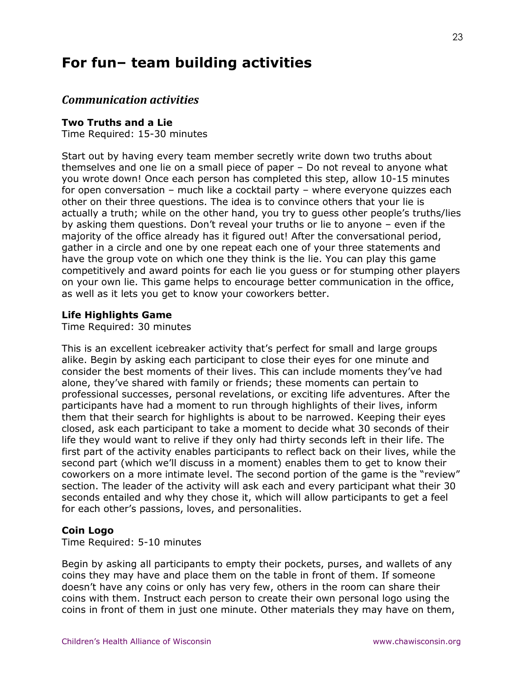# <span id="page-22-0"></span>**For fun– team building activities**

## *Communication activities*

#### **Two Truths and a Lie**

Time Required: 15-30 minutes

Start out by having every team member secretly write down two truths about themselves and one lie on a small piece of paper – Do not reveal to anyone what you wrote down! Once each person has completed this step, allow 10-15 minutes for open conversation – much like a cocktail party – where everyone quizzes each other on their three questions. The idea is to convince others that your lie is actually a truth; while on the other hand, you try to guess other people's truths/lies by asking them questions. Don't reveal your truths or lie to anyone – even if the majority of the office already has it figured out! After the conversational period, gather in a circle and one by one repeat each one of your three statements and have the group vote on which one they think is the lie. You can play this game competitively and award points for each lie you guess or for stumping other players on your own lie. This game helps to encourage better communication in the office, as well as it lets you get to know your coworkers better.

#### **Life Highlights Game**

Time Required: 30 minutes

This is an excellent icebreaker activity that's perfect for small and large groups alike. Begin by asking each participant to close their eyes for one minute and consider the best moments of their lives. This can include moments they've had alone, they've shared with family or friends; these moments can pertain to professional successes, personal revelations, or exciting life adventures. After the participants have had a moment to run through highlights of their lives, inform them that their search for highlights is about to be narrowed. Keeping their eyes closed, ask each participant to take a moment to decide what 30 seconds of their life they would want to relive if they only had thirty seconds left in their life. The first part of the activity enables participants to reflect back on their lives, while the second part (which we'll discuss in a moment) enables them to get to know their coworkers on a more intimate level. The second portion of the game is the "review" section. The leader of the activity will ask each and every participant what their 30 seconds entailed and why they chose it, which will allow participants to get a feel for each other's passions, loves, and personalities.

### **Coin Logo**

Time Required: 5-10 minutes

Begin by asking all participants to empty their pockets, purses, and wallets of any coins they may have and place them on the table in front of them. If someone doesn't have any coins or only has very few, others in the room can share their coins with them. Instruct each person to create their own personal logo using the coins in front of them in just one minute. Other materials they may have on them,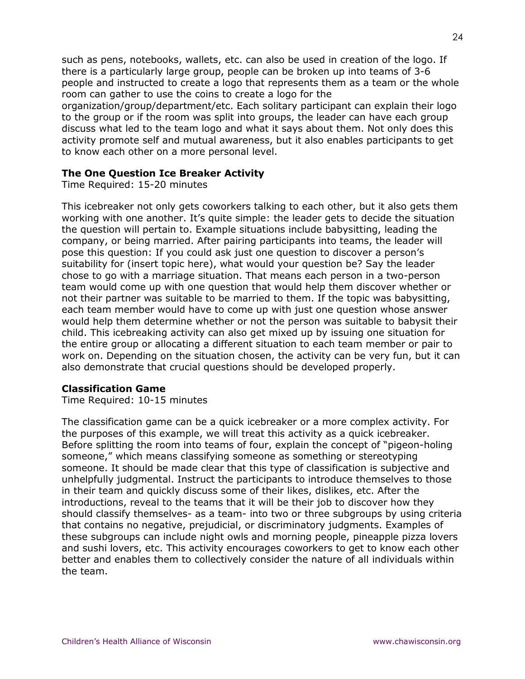such as pens, notebooks, wallets, etc. can also be used in creation of the logo. If there is a particularly large group, people can be broken up into teams of 3-6 people and instructed to create a logo that represents them as a team or the whole room can gather to use the coins to create a logo for the

organization/group/department/etc. Each solitary participant can explain their logo to the group or if the room was split into groups, the leader can have each group discuss what led to the team logo and what it says about them. Not only does this activity promote self and mutual awareness, but it also enables participants to get to know each other on a more personal level.

### **The One Question Ice Breaker Activity**

Time Required: 15-20 minutes

This icebreaker not only gets coworkers talking to each other, but it also gets them working with one another. It's quite simple: the leader gets to decide the situation the question will pertain to. Example situations include babysitting, leading the company, or being married. After pairing participants into teams, the leader will pose this question: If you could ask just one question to discover a person's suitability for (insert topic here), what would your question be? Say the leader chose to go with a marriage situation. That means each person in a two-person team would come up with one question that would help them discover whether or not their partner was suitable to be married to them. If the topic was babysitting, each team member would have to come up with just one question whose answer would help them determine whether or not the person was suitable to babysit their child. This icebreaking activity can also get mixed up by issuing one situation for the entire group or allocating a different situation to each team member or pair to work on. Depending on the situation chosen, the activity can be very fun, but it can also demonstrate that crucial questions should be developed properly.

### **Classification Game**

Time Required: 10-15 minutes

The classification game can be a quick icebreaker or a more complex activity. For the purposes of this example, we will treat this activity as a quick icebreaker. Before splitting the room into teams of four, explain the concept of "pigeon-holing someone," which means classifying someone as something or stereotyping someone. It should be made clear that this type of classification is subjective and unhelpfully judgmental. Instruct the participants to introduce themselves to those in their team and quickly discuss some of their likes, dislikes, etc. After the introductions, reveal to the teams that it will be their job to discover how they should classify themselves- as a team- into two or three subgroups by using criteria that contains no negative, prejudicial, or discriminatory judgments. Examples of these subgroups can include night owls and morning people, pineapple pizza lovers and sushi lovers, etc. This activity encourages coworkers to get to know each other better and enables them to collectively consider the nature of all individuals within the team.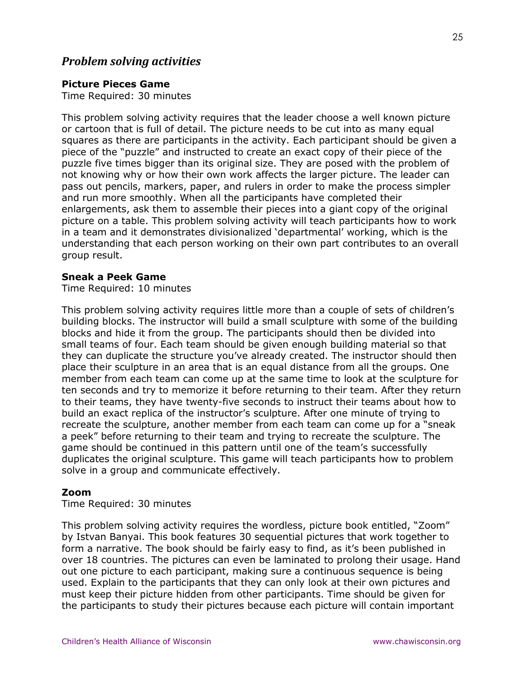## *Problem solving activities*

### **Picture Pieces Game**

Time Required: 30 minutes

This problem solving activity requires that the leader choose a well known picture or cartoon that is full of detail. The picture needs to be cut into as many equal squares as there are participants in the activity. Each participant should be given a piece of the "puzzle" and instructed to create an exact copy of their piece of the puzzle five times bigger than its original size. They are posed with the problem of not knowing why or how their own work affects the larger picture. The leader can pass out pencils, markers, paper, and rulers in order to make the process simpler and run more smoothly. When all the participants have completed their enlargements, ask them to assemble their pieces into a giant copy of the original picture on a table. This problem solving activity will teach participants how to work in a team and it demonstrates divisionalized 'departmental' working, which is the understanding that each person working on their own part contributes to an overall group result.

### **Sneak a Peek Game**

Time Required: 10 minutes

This problem solving activity requires little more than a couple of sets of children's building blocks. The instructor will build a small sculpture with some of the building blocks and hide it from the group. The participants should then be divided into small teams of four. Each team should be given enough building material so that they can duplicate the structure you've already created. The instructor should then place their sculpture in an area that is an equal distance from all the groups. One member from each team can come up at the same time to look at the sculpture for ten seconds and try to memorize it before returning to their team. After they return to their teams, they have twenty-five seconds to instruct their teams about how to build an exact replica of the instructor's sculpture. After one minute of trying to recreate the sculpture, another member from each team can come up for a "sneak a peek" before returning to their team and trying to recreate the sculpture. The game should be continued in this pattern until one of the team's successfully duplicates the original sculpture. This game will teach participants how to problem solve in a group and communicate effectively.

### **Zoom**

Time Required: 30 minutes

This problem solving activity requires the wordless, picture book entitled, "Zoom" by Istvan Banyai. This book features 30 sequential pictures that work together to form a narrative. The book should be fairly easy to find, as it's been published in over 18 countries. The pictures can even be laminated to prolong their usage. Hand out one picture to each participant, making sure a continuous sequence is being used. Explain to the participants that they can only look at their own pictures and must keep their picture hidden from other participants. Time should be given for the participants to study their pictures because each picture will contain important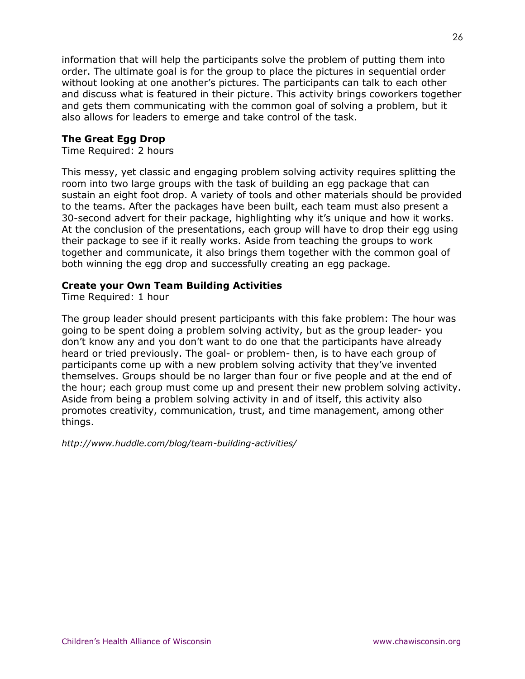information that will help the participants solve the problem of putting them into order. The ultimate goal is for the group to place the pictures in sequential order without looking at one another's pictures. The participants can talk to each other and discuss what is featured in their picture. This activity brings coworkers together and gets them communicating with the common goal of solving a problem, but it also allows for leaders to emerge and take control of the task.

### **The Great Egg Drop**

Time Required: 2 hours

This messy, yet classic and engaging problem solving activity requires splitting the room into two large groups with the task of building an egg package that can sustain an eight foot drop. A variety of tools and other materials should be provided to the teams. After the packages have been built, each team must also present a 30-second advert for their package, highlighting why it's unique and how it works. At the conclusion of the presentations, each group will have to drop their egg using their package to see if it really works. Aside from teaching the groups to work together and communicate, it also brings them together with the common goal of both winning the egg drop and successfully creating an egg package.

### **Create your Own Team Building Activities**

Time Required: 1 hour

The group leader should present participants with this fake problem: The hour was going to be spent doing a problem solving activity, but as the group leader- you don't know any and you don't want to do one that the participants have already heard or tried previously. The goal- or problem- then, is to have each group of participants come up with a new problem solving activity that they've invented themselves. Groups should be no larger than four or five people and at the end of the hour; each group must come up and present their new problem solving activity. Aside from being a problem solving activity in and of itself, this activity also promotes creativity, communication, trust, and time management, among other things.

*http://www.huddle.com/blog/team-building-activities/*